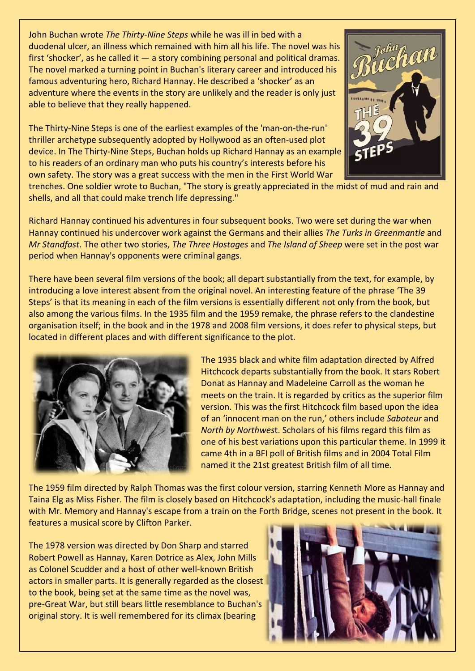John Buchan wrote *The Thirty-Nine Steps* while he was ill in bed with a [duodenal ulcer,](https://en.wikipedia.org/wiki/Duodenal_ulcer) an illness which remained with him all his life. The novel was his first ['shocker'](https://en.wikipedia.org/wiki/Dime_novel), as he called it — a story combining personal and political dramas. The novel marked a turning point in Buchan's literary career and introduced his famous adventuring hero, [Richard Hannay.](https://en.wikipedia.org/wiki/Richard_Hannay) He described a 'shocker' as an adventure where the events in the story are unlikely and the reader is only just able to believe that they really happened.

The Thirty-Nine Steps is one of the earliest examples of the 'man-on-the-run' thriller archetype subsequently adopted by Hollywood as an often-used plot device. In The Thirty-Nine Steps, Buchan holds up Richard Hannay as an example to his readers of an ordinary man who puts his country's interests before his own safety. The story was a great success with the men in the First World War



[trenches.](https://en.wikipedia.org/wiki/Trench) One soldier wrote to Buchan, "The story is greatly appreciated in the midst of mud and rain and shells, and all that could make trench life depressing."

[Richard Hannay](https://en.wikipedia.org/wiki/Richard_Hannay) continued his adventures in four subsequent books. Two were set during the war when Hannay continued his undercover work against the Germans and their allies *The [Turks](https://en.wikipedia.org/wiki/Ottoman_Empire) in [Greenmantle](https://en.wikipedia.org/wiki/Greenmantle)* and *[Mr Standfast](https://en.wikipedia.org/wiki/Mr_Standfast)*. The other two stories, *[The Three Hostages](https://en.wikipedia.org/wiki/The_Three_Hostages)* and *[The Island of Sheep](https://en.wikipedia.org/wiki/The_Island_of_Sheep)* were set in the post war period when Hannay's opponents were criminal gangs.

There have been several film versions of the book; all depart substantially from the text, for example, by introducing a love interest absent from the original novel. An interesting feature of the phrase 'The 39 Steps' is that its meaning in each of the film versions is essentially different not only from the book, but also among the various films. In the 1935 film and the 1959 remake, the phrase refers to the clandestine organisation itself; in the book and in the 1978 and 2008 film versions, it does refer to physical steps, but located in different places and with different significance to the plot.



The 1935 black and white film adaptation directed b[y Alfred](https://en.wikipedia.org/wiki/Alfred_Hitchcock)  [Hitchcock](https://en.wikipedia.org/wiki/Alfred_Hitchcock) departs substantially from the book. It stars [Robert](https://en.wikipedia.org/wiki/Robert_Donat)  [Donat](https://en.wikipedia.org/wiki/Robert_Donat) as Hannay and [Madeleine Carroll](https://en.wikipedia.org/wiki/Madeleine_Carroll) as the woman he meets on the train. It is regarded by critics as the superior film version. This was the first Hitchcock film based upon the idea of an 'innocent man on the run,' others include *[Saboteur](https://en.wikipedia.org/wiki/Saboteur_(film))* and *[North by Northwes](https://en.wikipedia.org/wiki/North_by_Northwest)*t. Scholars of his films regard this film as one of his best variations upon this particular theme. In 1999 it came 4th in a [BFI poll](https://en.wikipedia.org/wiki/BFI_Top_100_British_films) of British films and in 2004 [Total Film](https://en.wikipedia.org/wiki/Total_Film) named it the 21st greatest British film of all time.

The 1959 film directed by [Ralph Thomas](https://en.wikipedia.org/wiki/Ralph_Thomas) was the first colour version, starrin[g Kenneth More](https://en.wikipedia.org/wiki/Kenneth_More) as Hannay and [Taina Elg](https://en.wikipedia.org/wiki/Taina_Elg) as Miss Fisher. The film is closely based on Hitchcock's adaptation, including the music-hall finale with Mr. Memory and Hannay's escape from a train on th[e Forth Bridge,](https://en.wikipedia.org/wiki/Forth_Bridge) scenes not present in the book. It features a musical score by [Clifton Parker.](https://en.wikipedia.org/wiki/Clifton_Parker)

The 1978 version was directed b[y Don Sharp](https://en.wikipedia.org/wiki/Don_Sharp) and starred [Robert Powell](https://en.wikipedia.org/wiki/Robert_Powell) as Hannay, [Karen Dotrice](https://en.wikipedia.org/wiki/Karen_Dotrice) as Alex[, John Mills](https://en.wikipedia.org/wiki/John_Mills) as Colonel Scudder and a host of other well-known British actors in smaller parts. It is generally regarded as the closest to the book, being set at the same time as the novel was, pre-Great War, but still bears little resemblance to Buchan's original story. It is well remembered for its climax (bearing